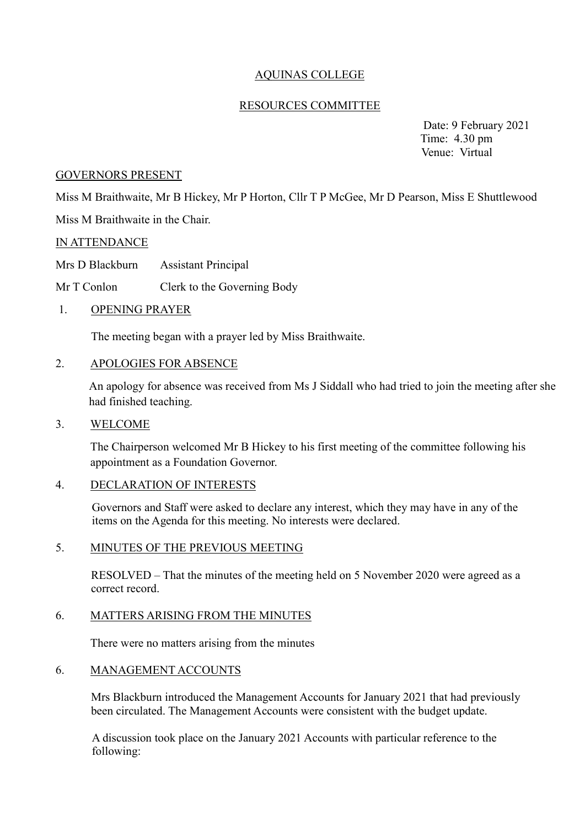# AQUINAS COLLEGE

### RESOURCES COMMITTEE

 Date: 9 February 2021 Time: 4.30 pm Venue: Virtual

#### GOVERNORS PRESENT

Miss M Braithwaite, Mr B Hickey, Mr P Horton, Cllr T P McGee, Mr D Pearson, Miss E Shuttlewood Miss M Braithwaite in the Chair.

#### IN ATTENDANCE

Mrs D Blackburn Assistant Principal

Mr T Conlon Clerk to the Governing Body

#### 1. OPENING PRAYER

The meeting began with a prayer led by Miss Braithwaite.

### 2. APOLOGIES FOR ABSENCE

An apology for absence was received from Ms J Siddall who had tried to join the meeting after she had finished teaching.

### 3. WELCOME

The Chairperson welcomed Mr B Hickey to his first meeting of the committee following his appointment as a Foundation Governor.

#### 4. DECLARATION OF INTERESTS

Governors and Staff were asked to declare any interest, which they may have in any of the items on the Agenda for this meeting. No interests were declared.

#### 5. MINUTES OF THE PREVIOUS MEETING

RESOLVED – That the minutes of the meeting held on 5 November 2020 were agreed as a correct record.

#### 6. MATTERS ARISING FROM THE MINUTES

There were no matters arising from the minutes

#### 6. MANAGEMENT ACCOUNTS

Mrs Blackburn introduced the Management Accounts for January 2021 that had previously been circulated. The Management Accounts were consistent with the budget update.

A discussion took place on the January 2021 Accounts with particular reference to the following: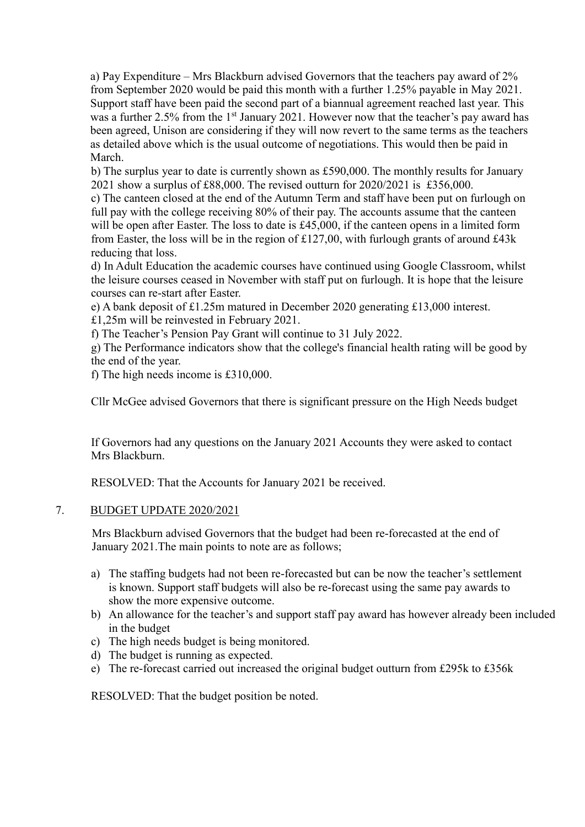a) Pay Expenditure – Mrs Blackburn advised Governors that the teachers pay award of 2% from September 2020 would be paid this month with a further 1.25% payable in May 2021. Support staff have been paid the second part of a biannual agreement reached last year. This was a further 2.5% from the 1<sup>st</sup> January 2021. However now that the teacher's pay award has been agreed, Unison are considering if they will now revert to the same terms as the teachers as detailed above which is the usual outcome of negotiations. This would then be paid in March.

b) The surplus year to date is currently shown as £590,000. The monthly results for January 2021 show a surplus of £88,000. The revised outturn for 2020/2021 is £356,000.

c) The canteen closed at the end of the Autumn Term and staff have been put on furlough on full pay with the college receiving 80% of their pay. The accounts assume that the canteen will be open after Easter. The loss to date is £45,000, if the canteen opens in a limited form from Easter, the loss will be in the region of  $£127,00$ , with furlough grants of around £43k reducing that loss.

d) In Adult Education the academic courses have continued using Google Classroom, whilst the leisure courses ceased in November with staff put on furlough. It is hope that the leisure courses can re-start after Easter.

e) A bank deposit of £1.25m matured in December 2020 generating £13,000 interest.

£1,25m will be reinvested in February 2021.

f) The Teacher's Pension Pay Grant will continue to 31 July 2022.

g) The Performance indicators show that the college's financial health rating will be good by the end of the year.

f) The high needs income is £310,000.

Cllr McGee advised Governors that there is significant pressure on the High Needs budget

If Governors had any questions on the January 2021 Accounts they were asked to contact Mrs Blackburn.

RESOLVED: That the Accounts for January 2021 be received.

## 7. BUDGET UPDATE 2020/2021

Mrs Blackburn advised Governors that the budget had been re-forecasted at the end of January 2021.The main points to note are as follows;

- a) The staffing budgets had not been re-forecasted but can be now the teacher's settlement is known. Support staff budgets will also be re-forecast using the same pay awards to show the more expensive outcome.
- b) An allowance for the teacher's and support staff pay award has however already been included in the budget
- c) The high needs budget is being monitored.
- d) The budget is running as expected.
- e) The re-forecast carried out increased the original budget outturn from £295k to £356k

RESOLVED: That the budget position be noted.